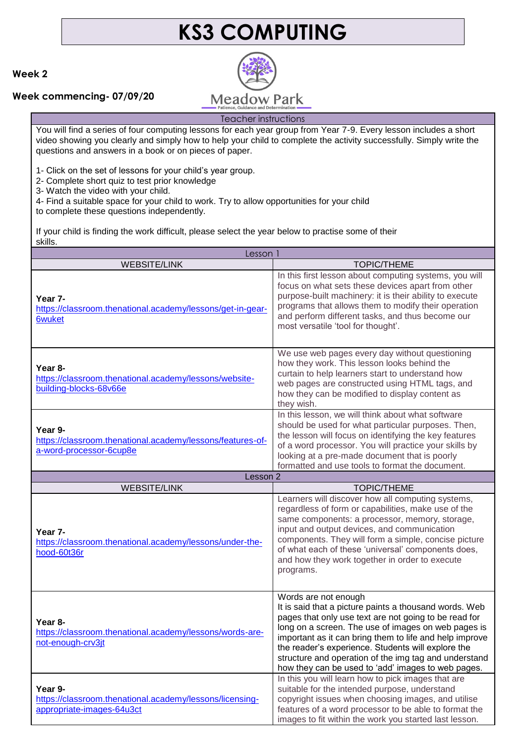# **KS3 COMPUTING**

#### **Week 2**

#### **Week commencing- 07/09/20**



### Teacher instructions

You will find a series of four computing lessons for each year group from Year 7-9. Every lesson includes a short video showing you clearly and simply how to help your child to complete the activity successfully. Simply write the questions and answers in a book or on pieces of paper.

1- Click on the set of lessons for your child's year group.

2- Complete short quiz to test prior knowledge

3- Watch the video with your child.

4- Find a suitable space for your child to work. Try to allow opportunities for your child

to complete these questions independently.

If your child is finding the work difficult, please select the year below to practise some of their skills.

| Lesson 1                                                                                         |                                                                                                                                                                                                                                                                                                                                                                                                                                |
|--------------------------------------------------------------------------------------------------|--------------------------------------------------------------------------------------------------------------------------------------------------------------------------------------------------------------------------------------------------------------------------------------------------------------------------------------------------------------------------------------------------------------------------------|
| <b>WEBSITE/LINK</b>                                                                              | <b>TOPIC/THEME</b>                                                                                                                                                                                                                                                                                                                                                                                                             |
| Year 7-<br>https://classroom.thenational.academy/lessons/get-in-gear-<br><b>6wuket</b>           | In this first lesson about computing systems, you will<br>focus on what sets these devices apart from other<br>purpose-built machinery: it is their ability to execute<br>programs that allows them to modify their operation<br>and perform different tasks, and thus become our<br>most versatile 'tool for thought'.                                                                                                        |
| Year 8-<br>https://classroom.thenational.academy/lessons/website-<br>building-blocks-68v66e      | We use web pages every day without questioning<br>how they work. This lesson looks behind the<br>curtain to help learners start to understand how<br>web pages are constructed using HTML tags, and<br>how they can be modified to display content as<br>they wish.                                                                                                                                                            |
| Year 9-<br>https://classroom.thenational.academy/lessons/features-of-<br>a-word-processor-6cup8e | In this lesson, we will think about what software<br>should be used for what particular purposes. Then,<br>the lesson will focus on identifying the key features<br>of a word processor. You will practice your skills by<br>looking at a pre-made document that is poorly<br>formatted and use tools to format the document.                                                                                                  |
| Lesson 2                                                                                         |                                                                                                                                                                                                                                                                                                                                                                                                                                |
| <b>WEBSITE/LINK</b>                                                                              | <b>TOPIC/THEME</b>                                                                                                                                                                                                                                                                                                                                                                                                             |
| Year 7-<br>https://classroom.thenational.academy/lessons/under-the-<br>hood-60t36r               | Learners will discover how all computing systems,<br>regardless of form or capabilities, make use of the<br>same components: a processor, memory, storage,<br>input and output devices, and communication<br>components. They will form a simple, concise picture<br>of what each of these 'universal' components does,<br>and how they work together in order to execute<br>programs.                                         |
| Year 8-<br>https://classroom.thenational.academy/lessons/words-are-<br>not-enough-crv3jt         | Words are not enough<br>It is said that a picture paints a thousand words. Web<br>pages that only use text are not going to be read for<br>long on a screen. The use of images on web pages is<br>important as it can bring them to life and help improve<br>the reader's experience. Students will explore the<br>structure and operation of the img tag and understand<br>how they can be used to 'add' images to web pages. |
| Year 9-<br>https://classroom.thenational.academy/lessons/licensing-<br>appropriate-images-64u3ct | In this you will learn how to pick images that are<br>suitable for the intended purpose, understand<br>copyright issues when choosing images, and utilise<br>features of a word processor to be able to format the<br>images to fit within the work you started last lesson.                                                                                                                                                   |